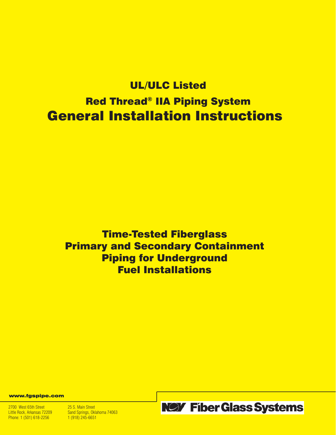# UL/ULC Listed Red Thread® IIA Piping System General Installation Instructions

Time-Tested Fiberglass Primary and Secondary Containment Piping for Underground Fuel Installations

www.fgspipe.com

2700 West 65th Street 25 S. Main Street<br>
Little Rock, Arkansas 72209 Sand Springs, Okl Phone: 1 (501) 618-2256

Sand Springs, Oklahoma 74063<br>1 (918) 245-6651



**NOY Fiber Glass Systems**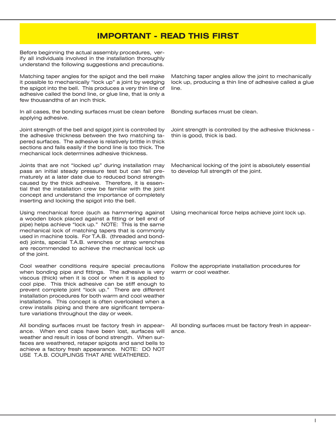# **IMPORTANT - READ THIS FIRST**

Before beginning the actual assembly procedures, verify all individuals involved in the installation thoroughly understand the following suggestions and precautions.

Matching taper angles for the spigot and the bell make it possible to mechanically "lock up" a joint by wedging the spigot into the bell. This produces a very thin line of adhesive called the bond line, or glue line, that is only a few thousandths of an inch thick.

In all cases, the bonding surfaces must be clean before applying adhesive.

Joint strength of the bell and spigot joint is controlled by the adhesive thickness between the two matching tapered surfaces. The adhesive is relatively brittle in thick sections and fails easily if the bond line is too thick. The mechanical lock determines adhesive thickness.

Joints that are not "locked up" during installation may pass an initial steady pressure test but can fail prematurely at a later date due to reduced bond strength caused by the thick adhesive. Therefore, it is essential that the installation crew be familiar with the joint concept and understand the importance of completely inserting and locking the spigot into the bell.

Using mechanical force (such as hammering against a wooden block placed against a fitting or bell end of pipe) helps achieve "lock up." NOTE: This is the same mechanical lock of matching tapers that is commonly used in machine tools. For T.A.B. (threaded and bonded) joints, special T.A.B. wrenches or strap wrenches are recommended to achieve the mechanical lock up of the joint.

Cool weather conditions require special precautions when bonding pipe and fittings. The adhesive is very viscous (thick) when it is cool or when it is applied to cool pipe. This thick adhesive can be stiff enough to prevent complete joint "lock up." There are different installation procedures for both warm and cool weather installations. This concept is often overlooked when a crew installs piping and there are significant temperature variations throughout the day or week.

All bonding surfaces must be factory fresh in appearance. When end caps have been lost, surfaces will weather and result in loss of bond strength. When surfaces are weathered, retaper spigots and sand bells to achieve a factory fresh appearance. NOTE: DO NOT USE T.A.B. COUPLINGS THAT ARE WEATHERED.

Matching taper angles allow the joint to mechanically lock up, producing a thin line of adhesive called a glue line.

Bonding surfaces must be clean.

Joint strength is controlled by the adhesive thickness thin is good, thick is bad.

Mechanical locking of the joint is absolutely essential to develop full strength of the joint.

Using mechanical force helps achieve joint lock up.

Follow the appropriate installation procedures for warm or cool weather.

All bonding surfaces must be factory fresh in appearance.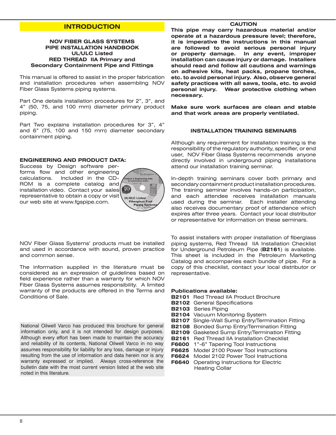# **INTRODUCTION**

## **NOV FIBER GLASS SYSTEMS PIPE INSTALLATION HANDBOOK UL/ULC Listed RED THREAD IIA Primary and Secondary Containment Pipe and Fittings**

This manual is offered to assist in the proper fabrication and installation procedures when assembling NOV Fiber Glass Systems piping systems.

Part One details installation procedures for 2", 3", and 4" (50, 75, and 100 mm) diameter primary product piping.

Part Two explains installation procedures for 3", 4" and 6" (75, 100 and 150 mm) diameter secondary containment piping.

# **ENGINEERING AND PRODUCT DATA:**

Success by Design software performs flow and other engineering calculations. Included in the CD-ROM is a complete catalog and installation video. Contact your sales 80 representative to obtain a copy or visit our web site at www.fgspipe.com.



NOV Fiber Glass Systems' products must be installed and used in accordance with sound, proven practice and common sense.

The information supplied in the literature must be considered as an expression of guidelines based on field experience rather than a warranty for which NOV Fiber Glass Systems assumes responsibility. A limited warranty of the products are offered in the Terms and Conditions of Sale.

National Oilwell Varco has produced this brochure for general information only, and it is not intended for design purposes. Although every effort has been made to maintain the accuracy and reliability of its contents, National Oilwell Varco in no way assumes responsibility for liability for any loss, damage or injury resulting from the use of information and data herein nor is any warranty expressed or implied. Always cross-reference the bulletin date with the most current version listed at the web site noted in this literature.

## **CAUTION**

**This pipe may carry hazardous material and/or operate at a hazardous pressure level; therefore, it is imperative the instructions in this manual are followed to avoid serious personal injury or property damage. In any event, improper installation can cause injury or damage. Installers should read and follow all cautions and warnings on adhesive kits, heat packs, propane torches, etc. to avoid personal injury. Also, observe general safety practices with all saws, tools, etc. to avoid personal injury. Wear protective clothing when necessary.** 

**Make sure work surfaces are clean and stable and that work areas are properly ventilated.**

## **INSTALLATION TRAINING SEMINARS**

Although any requirement for installation training is the responsibility of the regulatory authority, specifier, or end user, NOV Fiber Glass Systems recommends anyone directly involved in underground piping installations attend our installation training seminar.

In-depth training seminars cover both primary and secondary containment product installation procedures. The training seminar involves hands-on participation, and each attendee receives installation manuals used during the seminar. Each installer attending also receives documentary proof of attendance which expires after three years. Contact your local distributor or representative for information on these seminars.

To assist installers with proper installation of fiberglass piping systems, Red Thread IIA Installation Checklist for Underground Petroleum Pipe (**B2161**) is available. This sheet is included in the Petroleum Marketing Catalog and accompanies each bundle of pipe. For a copy of this checklist, contact your local distributor or representative.

## **Publications available:**

- **B2101** Red Thread IIA Product Brochure
- **B2102** General Specifications
- **B2103** Series Piping
- **B2104** Vacuum Monitoring System
- **B2107** Single-Wall Sump Entry/Termination Fitting
- **B2108** Bonded Sump Entry/Termination Fitting
- **B2109** Gasketed Sump Entry/Termination Fitting
- **B2161** Red Thread IIA Installation Checklist
- **F6600** 1"-6" Tapering Tool Instructions
- **F6625** Model 2100 Power Tool Instructions
- **F6624** Model 2102 Power Tool Instructions
- **F6640** Operating Instructions for Electric Heating Collar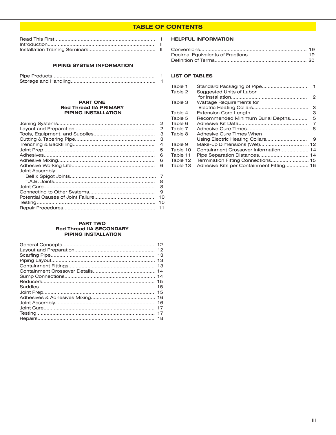# **TABLE OF CONTENTS**

#### **PIPING SYSTEM INFORMATION**

#### **PART ONE Red Thread IIA PRIMARY PIPING INSTALLATION**

| 2  |
|----|
| 2  |
| 3  |
| з  |
| 4  |
| 5  |
| 6  |
| 6  |
| 6  |
|    |
| 7  |
| 8  |
| 8  |
| 9  |
| 10 |
| 10 |
| 11 |
|    |

#### **PART TWO Red Thread IIA SECONDARY PIPING INSTALLATION**

## **HELPFUL INFORMATION**

# **LIST OF TABLES**

| Table 1  |                                          |   |
|----------|------------------------------------------|---|
| Table 2  | Suggested Units of Labor                 |   |
|          |                                          | 2 |
| Table 3  | <b>Wattage Requirements for</b>          |   |
|          |                                          | 3 |
| Table 4  |                                          | 3 |
| Table 5  | Recommended Minimum Burial Depths        | 5 |
| Table 6  |                                          | 7 |
| Table 7  |                                          | 8 |
| Table 8  | Adhesive Cure Times When                 |   |
|          |                                          |   |
| Table 9  |                                          |   |
| Table 10 | Containment Crossover Information 14     |   |
| Table 11 |                                          |   |
| Table 12 |                                          |   |
| Table 13 | Adhesive Kits per Containment Fitting 16 |   |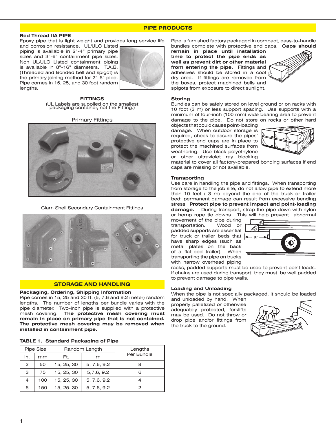## **PIPE PRODUCTS**

## **Red Thread IIA PIPE**

Epoxy pipe that is light weight and provides long service life

and corrosion resistance. UL/ULC Listed piping is available in 2"-4" primary pipe sizes and 3"-6" containment pipe sizes. Non UL/ULC Listed containment piping is available in 8"-16" diameters. T.A.B. (Threaded and Bonded bell and spigot) is the primary joining method for 2"-6" pipe. Pipe comes in 15, 25, and 30 foot random lengths.



**FITTINGS** (UL Labels are supplied on the smallest packaging container, not the Fitting.)

#### Primary Fittings



Clam Shell Secondary Containment Fittings



#### **STORAGE AND HANDLING**

#### **Packaging, Ordering, Shipping Information**

Pipe comes in 15, 25 and 30 ft. (5, 7.6 and 9.2 meter) random lengths. The number of lengths per bundle varies with the pipe diameter. Two-inch pipe is supplied with a protective mesh covering. **The protective mesh covering must remain in place on primary pipe that is not contained. The protective mesh covering may be removed when installed in containment pipe.**

|  |  | <b>TABLE 1. Standard Packaging of Pipe</b> |  |
|--|--|--------------------------------------------|--|
|--|--|--------------------------------------------|--|

|               | Pipe Size |            | Random Length | Lengths    |
|---------------|-----------|------------|---------------|------------|
| In.           | mm        | Ft.        | m             | Per Bundle |
| $\mathcal{P}$ | 50        | 15, 25, 30 | 5, 7.6, 9.2   |            |
| 3             | 75        | 15, 25, 30 | 5,7.6, 9.2    |            |
| 4             | 100       | 15, 25, 30 | 5, 7.6, 9.2   |            |
| 6             | 150       | 15, 25, 30 | 5, 7.6, 9.2   |            |

Pipe is furnished factory packaged in compact, easy-to-handle bundles complete with protective end caps. **Caps should** 

**remain in place until installation time to protect the pipe ends as well as prevent dirt or other material from entering the pipe.** Fittings and adhesives should be stored in a cool dry area. If fittings are removed from the boxes, protect machined bells and spigots from exposure to direct sunlight.



## **Storing**

Bundles can be safely stored on level ground or on racks with 10 foot (3 m) or less support spacing. Use supports with a minimum of four-inch (100 mm) wide bearing area to prevent damage to the pipe. Do not store on rocks or other hard

objects that could cause point-loading damage. When outdoor storage is required, check to assure the pipes' protective end caps are in place to protect the machined surfaces from weathering. Use black polyethylene or other ultraviolet ray blocking



material to cover all factory-prepared bonding surfaces if end caps are missing or not available.

#### **Transporting**

Use care in handling the pipe and fittings. When transporting from storage to the job site, do not allow pipe to extend more than 10 feet ( 3 m) beyond the end of the truck or trailer bed; permanent damage can result from excessive bending stress. **Protect pipe to prevent impact and point-loading damage.** During transport, strap the pipe down with nylon or hemp rope tie downs. This will help prevent abnormal

movement of the pipe during transportation. Wood or padded supports are essential for truck or trailer beds that have sharp edges (such as metal plates on the back of a flat-bed trailer). When transporting the pipe on trucks with narrow overhead piping



racks, padded supports must be used to prevent point loads. If chains are used during transport, they must be well padded to prevent damage to pipe walls.

#### **Loading and Unloading**

When the pipe is not specially packaged, it should be loaded

and unloaded by hand. When properly palletized or otherwise adequately protected, forklifts may be used. Do not throw or drop pipe and/or fittings from the truck to the ground.

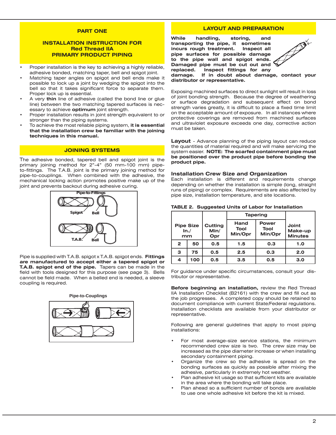## **PART ONE**

## **INSTALLATION INSTRUCTION FOR Red Thread IIA PRIMARY PRODUCT PIPING**

- Proper installation is the key to achieving a highly reliable, adhesive bonded, matching taper, bell and spigot joint.
- Matching taper angles on spigot and bell ends make it possible to lock up a joint by wedging the spigot into the bell so that it takes significant force to separate them. Proper lock up is essential.
- A very **thin** line of adhesive (called the bond line or glue line) between the two matching tapered surfaces is necessary to achieve **optimum** joint strength.
- Proper installation results in joint strength equivalent to or stronger than the piping systems.
- To achieve the most reliable piping system, it is essential **that the installation crew be familiar with the joining techniques in this manual.**

## **JOINING SYSTEMS**

The adhesive bonded, tapered bell and spigot joint is the primary joining method for 2"-4" (50 mm-100 mm) pipeto-fittings. The T.A.B. joint is the primary joining method for pipe-to-couplings. When combined with the adhesive, the mechanical locking action promotes positive make up of the joint and prevents backout during adhesive curing.



Pipe is supplied with T.A.B. spigot x T.A.B. spigot ends. **Fittings are manufactured to accept either a tapered spigot or T.A.B. spigot end of the pipe.** Tapers can be made in the field with tools designed for this purpose (see page 3). Bells cannot be field made. When a belled end is needed, a sleeve coupling is required.



## **LAYOUT AND PREPARATION**

**While handling, storing, and transporting the pipe, it sometimes incurs rough treatment. Inspect all pipe surfaces for possible damage to the pipe wall and spigot ends. Damaged pipe must be cut out and replaced. Inspect fittings for any** 



**damage. If in doubt about damage, contact your distributor or representative.**

Exposing machined surfaces to direct sunlight will result in loss of joint bonding strength. Because the degree of weathering or surface degradation and subsequent effect on bond strength varies greatly, it is difficult to place a fixed time limit on the acceptable amount of exposure. In all instances where protective coverings are removed from machined surfaces and ultraviolet exposure exceeds one day, corrective action must be taken.

**Layout** - Advance planning of the piping layout can reduce the quantities of material required and will make servicing the system easier. **NOTE: The scarfed containment pipe must be positioned over the product pipe before bonding the product pipe.**

#### **Installation Crew Size and Organization**

Each installation is different and requirements change depending on whether the installation is simple (long, straight runs of piping) or complex. Requirements are also affected by pipe size, installation temperature, and site locations.

|                                |     |                        | <b>Tapering</b>                                                   |     |                                    |
|--------------------------------|-----|------------------------|-------------------------------------------------------------------|-----|------------------------------------|
| <b>Pipe Size</b><br>In./<br>mm |     | Cutting<br>Min/<br>Opr | Hand<br><b>Power</b><br>Tool<br><b>Tool</b><br>Min/Opr<br>Min/Opr |     | Joint<br>Make-up<br><b>Minutes</b> |
| $\overline{2}$                 | 50  | 0.5                    | 0.3<br>1.5                                                        |     | 1.0                                |
| З                              | 75  | 0.5                    | 2.5<br>0.3                                                        |     | 2.0                                |
| 4                              | 100 | 0.5                    | 3.5                                                               | 0.5 | 3.0                                |

#### **TABLE 2. Suggested Units of Labor for Installation**

For guidance under specific circumstances, consult your distributor or representative.

**Before beginning an installation,** review the Red Thread IIA Installation Checklist (B2161) with the crew and fill out as the job progresses. A completed copy should be retained to document compliance with current State/Federal regulations. Installation checklists are available from your distributor or representative.

Following are general guidelines that apply to most piping installations:

- For most average-size service stations, the minimum recommended crew size is two. The crew size may be increased as the pipe diameter increase or when installing secondary containment piping.
- Organize the crew so the adhesive is spread on the bonding surfaces as quickly as possible after mixing the adhesive, particularly in extremely hot weather.
- Plan adhesive kit usage so that sufficient kits are available in the area where the bonding will take place.
- Plan ahead so a sufficient number of bonds are available to use one whole adhesive kit before the kit is mixed.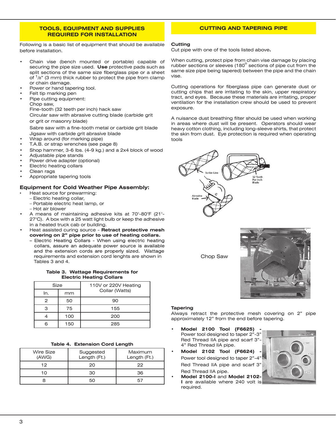## **TOOLS, EQUIPMENT AND SUPPLIES REQUIRED FOR INSTALLATION**

Following is a basic list of equipment that should be available before installation.

- Chain vise (bench mounted or portable) capable of securing the pipe size used. **Use** protective pads such as split sections of the same size fiberglass pipe or a sheet of  $1/8$ " (3 mm) thick rubber to protect the pipe from clamp or chain damage.
- Power or hand tapering tool.
- Felt tip marking pen
- Pipe cutting equipment: Chop saw,

Fine-tooth (32 teeth per inch) hack saw

Circular saw with abrasive cutting blade (carbide grit or grit or masonry blade)

 Sabre saw with a fine-tooth metal or carbide grit blade Jigsaw with carbide grit abrasive blade

- Wrap around (for marking pipe)
- T.A.B. or strap wrenches (see page 8)
- Shop hammer, 3-6 lbs. (4-9 kg.) and a 2x4 block of wood
- Adjustable pipe stands
- Power drive adapter (optional)
- **Electric heating collars**
- Clean rags
- Appropriate tapering tools

## **Equipment for Cold Weather Pipe Assembly:**

- Heat source for prewarming:
	- Electric heating collar,
	- Portable electric heat lamp, or
- Hot air blower
- A means of maintaining adhesive kits at 70°-80°F (21°-27°C). A box with a 25 watt light bulb or keep the adhesive in a heated truck cab or building.
- Heat assisted curing source Retract protective mesh **covering on 2" pipe prior to use of heating collars.**
	- Electric Heating Collars When using electric heating collars, assure an adequate power source is available and the extension cords are properly sized. Wattage requirements and extension cord lenghts are shown in Tables 3 and 4.

## **Table 3. Wattage Requirements for Electric Heating Collars**

| Size |     | 110V or 220V Heating |
|------|-----|----------------------|
| In.  | mm  | Collar (Watts)       |
|      | 50  | 90                   |
|      | 75  | 155                  |
|      | 100 | 200                  |
|      | 150 | 285                  |

**Table 4. Extension Cord Length**

| Wire Size<br>(AWG) | Suggested<br>Length (Ft.) | Maximum<br>Length (Ft.) |
|--------------------|---------------------------|-------------------------|
| 12                 | 20                        | 22                      |
| 1 ∩                | ദറ                        | 36                      |
|                    | 50                        |                         |

## **CUTTING AND TAPERING PIPE**

#### **Cutting**

Cut pipe with one of the tools listed above**.**

When cutting, protect pipe from chain vise damage by placing rubber sections or sleeves (180<sup>°</sup> sections of pipe cut from the same size pipe being tapered) between the pipe and the chain vise.

Cutting operations for fiberglass pipe can generate dust or cutting chips that are irritating to the skin, upper respiratory tract, and eyes. Because these materials are irritating, proper ventilation for the installation crew should be used to prevent exposure.

A nuisance dust breathing filter should be used when working in areas where dust will be present. Operators should wear heavy cotton clothing, including long-sleeve shirts, that protect the skin from dust. Eye protection is required when operating tools



Chop Saw



#### **Tapering**

Always retract the protective mesh covering on 2" pipe approximately 12" from the end before tapering.

- **• Model 2100 Tool (F6625)**  Power tool designed to taper 2"-3" Red Thread IIA pipe and scarf 3"- 4" Red Thread IIA pipe.
- **Model 2102 Tool (F6624)** Power tool designed to taper 2"-4" Red Thread IIA pipe and scarf 3" Red Thread IIA pipe.
- **• Model 2100-I** and **Model 2102- I** are available where 240 volt is required.

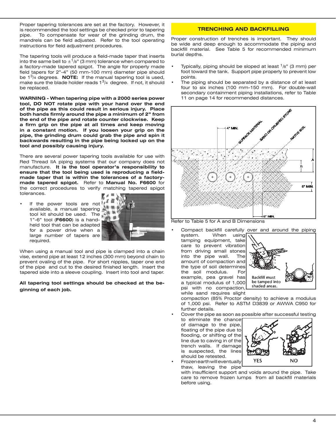Proper tapering tolerances are set at the factory. However, it is recommended the tool settings be checked prior to tapering pipe. To compensate for wear of the grinding drum, the mandrels can be field adjusted. Refer to the tool operating instructions for field adjustment procedures.

The tapering tools will produce a field-made taper that inserts into the same bell to  $\pm$ <sup>1</sup>/8" (3 mm) tolerance when compared to a factory-made tapered spigot. The angle for properly made field tapers for 2"-4" (50 mm-100 mm) diameter pipe should be 13/4 degrees. **NOTE:** If the manual tapering tool is used, make sure the blade holder reads  $1<sup>3</sup>/4$  degree. If not, it should be replaced.

**WARNING - When tapering pipe with a 2000 series power tool, DO NOT rotate pipe with your hand over the end of the pipe as this could result in serious injury. Place both hands firmly around the pipe a minimum of 2" from the end of the pipe and rotate counter clockwise. Keep a firm grip on the pipe at all times and keep moving in a constant motion. If you loosen your grip on the pipe, the grinding drum could grab the pipe and spin it backwards resulting in the pipe being locked up on the tool and possibly causing injury.**

There are several power tapering tools available for use with Red Thread IIA piping systems that our company does not manufacture. **It is the tool operator's responsibility to ensure that the tool being used is reproducing a fieldmade taper that is within the tolerances of a factorymade tapered spigot.** Refer to **Manual No. F6600** for the correct procedures to verify matching tapered spigot tolerances.

If the power tools are not available, a manual tapering tool kit should be used. The 1"-6" tool (**F6600**) is a handheld tool that can be adapted for a power drive when a large number of tapers are required.



When using a manual tool and pipe is clamped into a chain vise, extend pipe at least 12 inches (300 mm) beyond chain to prevent ovaling of the pipe. For short nipples, taper one end of the pipe and cut to the desired finished length. Insert the tapered side into a sleeve coupling. Insert into tool and taper.

## **All tapering tool settings should be checked at the beginning of each job.**

# **TRENCHING AND BACKFILLING**

Proper construction of trenches is important. They should be wide and deep enough to accommodate the piping and backfill material. See Table 5 for recommended minimum burial depths.

- Typically, piping should be sloped at least  $1/8$ " (3 mm) per foot toward the tank. Support pipe properly to prevent low points.
- The piping should be separated by a distance of at least four to six inches (100 mm-150 mm). For double-wall secondary containment piping installations, refer to Table 11 on page 14 for recommended distances.



Compact backfill carefully over and around the piping<br>system. When using  $\sqrt{ }$ 

When using tamping equipment, take care to prevent vibration from driving small stones into the pipe wall. The amount of compaction and the type of soil determines the soil modulus. For example, pea gravel has a typical modulus of 1,000 psi with no compaction, while sand requires slight



NO

compaction (85% Proctor density) to achieve a modulus of 1,000 psi. Refer to ASTM D3839 or AWWA C950 for further details.

Cover the pipe as soon as possible after successful testing

- to eliminate the chance of damage to the pipe, floating of the pipe due to flooding, or shifting of the line due to caving in of the trench walls. If damage is suspected, the lines should be retested.
- **Frozen earth will eventually** thaw, leaving the pipe

with insufficient support and voids around the pipe. Take care to remove frozen lumps from all backfill materials before using.

**YES**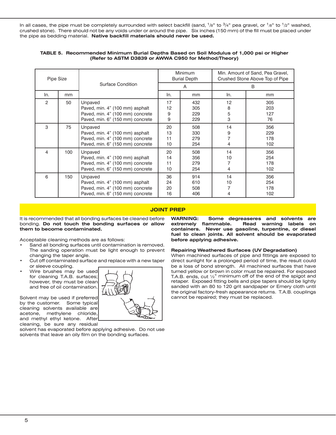In all cases, the pipe must be completely surrounded with select backfill (sand, <sup>1</sup>/8" to <sup>3</sup>/4" pea gravel, or <sup>1</sup>/8" to <sup>1</sup>/2" washed, crushed stone). There should not be any voids under or around the pipe. Six inches (150 mm) of the fill must be placed under the pipe as bedding material. **Native backfill materials should never be used.** 

| Pipe Size |     |                                                                                                                    | <b>Minimum</b><br><b>Burial Depth</b> |                          | Min. Amount of Sand, Pea Gravel,<br>Crushed Stone Above Top of Pipe |                          |
|-----------|-----|--------------------------------------------------------------------------------------------------------------------|---------------------------------------|--------------------------|---------------------------------------------------------------------|--------------------------|
|           |     | Surface Condition                                                                                                  |                                       | A                        | B                                                                   |                          |
| In.       | mm  |                                                                                                                    | In.                                   | mm                       | ln.                                                                 | mm                       |
| 2         | 50  | Unpaved<br>Paved, min. 4" (100 mm) asphalt<br>Paved, min. 4" (100 mm) concrete<br>Paved, min. 6" (150 mm) concrete | 17<br>12<br>9<br>9                    | 432<br>305<br>229<br>229 | 12<br>8<br>5<br>3                                                   | 305<br>203<br>127<br>76  |
| 3         | 75  | Unpaved<br>Paved, min. 4" (100 mm) asphalt<br>Paved, min. 4" (100 mm) concrete<br>Paved, min. 6" (150 mm) concrete | 20<br>13<br>11<br>10                  | 508<br>330<br>279<br>254 | 14<br>9<br>7<br>4                                                   | 356<br>229<br>178<br>102 |
| 4         | 100 | Unpaved<br>Paved, min. 4" (100 mm) asphalt<br>Paved, min. 4" (100 mm) concrete<br>Paved, min. 6" (150 mm) concrete | 20<br>14<br>11<br>10                  | 508<br>356<br>279<br>254 | 14<br>10<br>7<br>4                                                  | 356<br>254<br>178<br>102 |
| 6         | 150 | Unpaved<br>Paved, min. 4" (100 mm) asphalt<br>Paved, min. 4" (100 mm) concrete<br>Paved, min. 6" (150 mm) concrete | 36<br>24<br>20<br>16                  | 914<br>610<br>508<br>406 | 14<br>10<br>7<br>4                                                  | 356<br>254<br>178<br>102 |

#### **TABLE 5. Recommended Minimum Burial Depths Based on Soil Modulus of 1,000 psi or Higher (Refer to ASTM D3839 or AWWA C950 for Method/Theory)**

# **JOINT PREP**

It is recommended that all bonding surfaces be cleaned before bonding. **Do not touch the bonding surfaces or allow them to become contaminated.**

Acceptable cleaning methods are as follows:

- Sand all bonding surfaces until contamination is removed. The sanding operation must be light enough to prevent changing the taper angle.
- Cut off contaminated surface and replace with a new taper or sleeve coupling.
- Wire brushes may be used for cleaning T.A.B. surfaces; however, they must be clean and free of oil contamination.

Solvent may be used if preferred by the customer. Some typical cleaning solvents available are acetone, methylene chloride, and methyl ethyl ketone. After cleaning, be sure any residual

solvent has evaporated before applying adhesive. Do not use solvents that leave an oily film on the bonding surfaces.

**WARNING: Some degreaseres and solvents are extremely flammable. Read warning labels on containers. Never use gasoline, turpentine, or diesel fuel to clean joints. All solvent should be evaporated before applying adhesive.**

#### **Repairing Weathered Surfaces (UV Degradation)**

When machined surfaces of pipe and fittings are exposed to direct sunlight for a prolonged period of time, the result could be a loss of bond strength. All machined surfaces that have turned yellow or brown in color must be repaired. For exposed T.A.B. ends, cut  $1/2$ " minimum off of the end of the spigot and retaper. Exposed fitting bells and pipe tapers should be lightly sanded with an 80 to 120 grit sandpaper or Emery cloth until the original factory-fresh appearance returns. T.A.B. couplings cannot be repaired; they must be replaced.

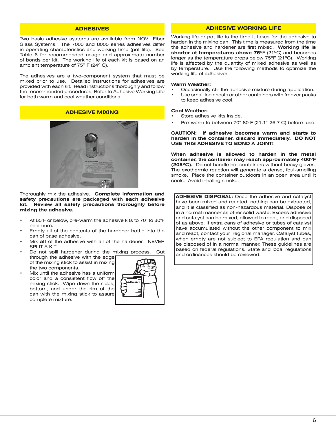## **ADHESIVES**

Two basic adhesive systems are available from NOV Fiber Glass Systems. The 7000 and 8000 series adhesives differ in operating characteristics and working time (pot life). See Table 6 for recommended usage and approximate number of bonds per kit. The working life of each kit is based on an ambient temperature of 75º F (24º C).

The adhesives are a two-component system that must be mixed prior to use. Detailed instructions for adhesives are provided with each kit. Read instructions thoroughly and follow the recommended procedures. Refer to Adhesive Working Life for both warm and cool weather conditions.

# **ADHESIVE MIXING**



Thoroughly mix the adhesive. **Complete information and safety precautions are packaged with each adhesive kit. Review all safety precautions thoroughly before mixing the adhesive.**

- At 65 $\degree$ F or below, pre-warm the adhesive kits to 70 $\degree$  to 80 $\degree$ F minimum.
- Empty all of the contents of the hardener bottle into the can of base adhesive.
- Mix all of the adhesive with all of the hardener. NEVER SPLIT A KIT.
- Do not spill hardener during the mixing process. Cut through the adhesive with the edge of the mixing stick to assist in mixing the two components.
- Mix until the adhesive has a uniform color and a consistent flow off the mixing stick. Wipe down the sides, bottom, and under the rim of the can with the mixing stick to assure complete mixture.



## **ADHESIVE WORKING LIFE**

Working life or pot life is the time it takes for the adhesive to harden in the mixing can. This time is measured from the time the adhesive and hardener are first mixed. **Working life is shorter at temperatures above 75**ºF (21ºC) and becomes longer as the temperature drops below 75ºF (21ºC). Working life is affected by the quantity of mixed adhesive as well as by temperature. Use the following methods to optimize the working life of adhesives:

#### **Warm Weather:**

- Occasionally stir the adhesive mixture during application.
- Use small ice chests or other containers with freezer packs to keep adhesive cool.

#### **Cool Weather:**

- Store adhesive kits inside.
- Pre-warm to between  $70^{\circ}$ -80°F (21.1°-26.7°C) before use.

**CAUTION: If adhesive becomes warm and starts to harden in the container, discard immediately. DO NOT USE THIS ADHESIVE TO BOND A JOINT!**

**When adhesive is allowed to harden in the metal container, the container may reach approximately 400ºF (205ºC).** Do not handle hot containers without heavy gloves. The exothermic reaction will generate a dense, foul-smelling smoke. Place the container outdoors in an open area until it cools. Avoid inhaling smoke.

**ADHESIVE DISPOSAL:** Once the adhesive and catalyst have been mixed and reacted, nothing can be extracted, and it is classified as non-hazardous material. Dispose of in a normal manner as other solid waste. Excess adhesive and catalyst can be mixed, allowed to react, and disposed of as above. If extra cans of adhesive or tubes of catalyst have accumulated without the other component to mix and react, contact your regional manager. Catalyst tubes, when empty are not subject to EPA regulation and can be disposed of in a normal manner. These guidelines are based on federal regulations. State and local regulations and ordinances should be reviewed.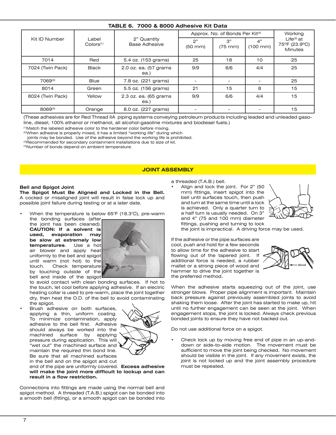| TABLE 6. 7000 & 8000 Adhesive Kit Data |                                |                                |                         |                                             |                            |                                                 |
|----------------------------------------|--------------------------------|--------------------------------|-------------------------|---------------------------------------------|----------------------------|-------------------------------------------------|
|                                        |                                |                                |                         | Approx. No. of Bonds Per Kit <sup>(4)</sup> |                            | Working                                         |
| Kit ID Number                          | Label<br>Colors <sup>(1)</sup> | 2" Quantity<br>Base Adhesive   | 2"<br>$(50 \text{ mm})$ | 3"<br>$(75$ mm $)$                          | 4"<br>$(100 \, \text{mm})$ | $Life(2)$ at<br>75°F (23.9°C)<br><b>Minutes</b> |
| 7014                                   | Red                            | 5.4 oz. (153 grams)            | 25                      | 18                                          | 10                         | 25                                              |
| 7024 (Twin Pack)                       | <b>Black</b>                   | 2.0 oz. ea. (57 grams<br>ea.)  | 9/9                     | 6/6                                         | 4/4                        | 25                                              |
| 7069(3)                                | <b>Blue</b>                    | 7.8 oz. (221 grams)            | ۰                       |                                             |                            | 25                                              |
| 8014                                   | Green                          | 5.5 oz. (156 grams)            | 21                      | 15                                          | 8                          | 15                                              |
| 8024 (Twin Pack)                       | Yellow                         | 2.3 oz. ea. (65 grams)<br>ea.) | 9/9                     | 6/6                                         | 4/4                        | 15                                              |
| $8069^{(3)}$                           | Orange                         | 8.0 oz. (227 grams)            |                         |                                             |                            | 15                                              |

(These adhesives are for Red Thread IIA piping systems conveying petroleum products including leaded and unleaded gasoline, diesel, 100% ethanol or methanol, all alcohol-gasoline mixtures and biodiesel fuels.)

(1)Match the labeled adhesive color to the hardener color before mixing.

(2)When adhesive is properly mixed, it has a limited "working life" during which

joints may be bonded. Use of the adhesive beyond the working life is prohibited.

<sup>(3)</sup>Recommended for secondary containment installations due to size of kit.

(4)Number of bonds depend on ambient temperature.

## **JOINT ASSEMBLY**

#### **Bell and Spigot Joint**

**The Spigot Must Be Aligned and Locked in the Bell.**  A cocked or misaligned joint will result in false lock up and possible joint failure during testing or at a later date.

When the temperature is below  $65^{\circ}F$  (18.3 $^{\circ}C$ ), pre-warm the bonding surfaces (after

the joint has been cleaned). **CAUTION: If a solvent is used, evaporation may be slow at extremely low temperatures**. Use a hot air blower and apply heat uniformly to the bell and spigot until warm (not hot) to the touch. Check temperature by touching outside of the bell and inside of the spigot



to avoid contact with clean bonding surfaces. If hot to the touch, let cool before applying adhesive. If an electric heating collar is used to pre-warm, place the joint together dry, then heat the O.D. of the bell to avoid contaminating the spigot.

Brush adhesive on both surfaces, applying a thin, uniform coating. To minimize contamination, apply adhesive to the bell first. Adhesive should always be worked into the machined surface by applying pressure during application. This will "wet out" the machined surface and maintain the required thin bond line. Be sure that all machined surfaces in the bell and on the spigot and cut



end of the pipe are uniformly covered. **Excess adhesive will make the joint more difficult to lockup and can result in a flow restriction.** 

Connections into fittings are made using the normal bell and spigot method. A threaded (T.A.B.) spigot can be bonded into a smooth bell (fitting), or a smooth spigot can be bonded into

a threaded (T.A.B.) bell.

Align and lock the joint. For 2" (50 mm) fittings, insert spigot into the bell until surfaces touch, then push and turn at the same time until a lock is achieved. Only a quarter turn to a half turn is usually needed. On 3" and 4" (75 and 100 mm) diameter fittings, pushing and turning to lock



the joint is impractical. A driving force may be used.

If the adhesive or the pipe surfaces are cool, push and hold for a few seconds to allow time for the adhesive to start flowing out of the tapered joint. If additional force is needed, a rubber mallet or a strong piece of wood and hammer to drive the joint together is the preferred method.



When the adhesive starts squeezing out of the joint, use stronger blows. Proper pipe alignment is important. Maintain back pressure against previously assembled joints to avoid shaking them loose. After the joint has started to make up, hit until no further engagement can be seen at the joint. When engagement stops, the joint is locked. Always check previous bonded joints to ensure they have not backed out.

Do not use additional force on a spigot.

Check lock up by moving free end of pipe in an up-anddown or side-to-side motion. The movement must be sufficient to move the joint being checked. No movement should be visible in the joint. If any movement exists, the joint is not locked up and the joint assembly procedure must be repeated.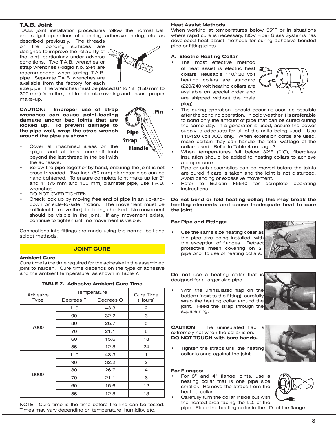# **T.A.B. Joint**

T.A.B. joint installation procedures follow the normal bell and spigot operations of cleaning, adhesive mixing, etc. as described previously. The threads

on the bonding surfaces are designed to improve the reliability of the joint, particularly under adverse conditions. Two T.A.B. wrenches or strap wrenches (Ridgid No. 2-P) are recommended when joining T.A.B. pipe. Separate T.A.B. wrenches are available from the factory for each



size pipe. The wrenches must be placed 6" to 12" (150 mm to 300 mm) from the joint to minimize ovaling and ensure proper make-up.

**CAUTION: Improper use of strap wrenches can cause point-loading damage and/or bad joints that are locked up. To prevent damage to the pipe wall, wrap the strap wrench around the pipe as shown.**



- Cover all machined areas on the spigot and at least one-half inch beyond the last thread in the bell with the adhesive.
- Screw the pipe together by hand, ensuring the joint is not cross threaded. Two inch (50 mm) diameter pipe can be hand tightened. To ensure complete joint make up for 3" and 4" (75 mm and 100 mm) diameter pipe, use T.A.B. wrenches.
- DO NOT OVER TIGHTEN.
- Check lock up by moving free end of pipe in an up-anddown or side-to-side motion. The movement must be sufficient to move the joint being checked. No movement should be visible in the joint. If any movement exists, continue to tighten until no movement is visible.

Connections into fittings are made using the normal bell and spigot methods.

## **JOINT CURE**

#### **Ambient Cure**

Cure time is the time required for the adhesive in the assembled joint to harden. Cure time depends on the type of adhesive and the ambient temperature, as shown in Table 7.

|  | <b>TABLE 7. Adhesive Ambient Cure Time</b> |  |  |
|--|--------------------------------------------|--|--|
|  |                                            |  |  |

| Adhesive     | Temperature | <b>Cure Time</b> |                |
|--------------|-------------|------------------|----------------|
| Type         | Degrees F   | Degrees C        | (Hours)        |
|              | 110         | 43.3             | 2              |
| 7000<br>8000 | 90          | 32.2             | З              |
|              | 80          | 26.7             | 5              |
|              | 70          | 21.1             | 8              |
|              | 60          | 15.6             | 18             |
|              | 55          | 12.8             | 24             |
|              | 110         | 43.3             |                |
|              | 90          | 32.2             | $\overline{2}$ |
|              | 80          | 26.7             | 4              |
|              | 70          | 21.1             | 6              |
|              | 60          | 15.6             | 12             |
|              | 55          | 12.8             | 18             |

NOTE: Cure time is the time before the line can be tested. Times may vary depending on temperature, humidity, etc.

## **Heat Assist Methods**

When working at temperatures below 55ºF or in situations where rapid cure is necessary, NOV Fiber Glass Systems has developed heat assist methods for curing adhesive bonded pipe or fitting joints.

## **A. Electric Heating Collar**

The most effective method

of heat assist is electric heat a collars. Reusable 110/120 volt heating collars are standard (220/240 volt heating collars are available on special order and are shipped without the male plug).



- The curing operation should occur as soon as possible after the bonding operation. In cold weather it is preferable to bond only the amount of pipe that can be cured during the same day. If a generator is used, assure the power supply is adequate for all of the units being used. Use 110/120 Volt A.C. only. When extension cords are used, make certain they can handle the total wattage of the collars used. Refer to Table 4 on page 3.
- When temperatures fall below  $32^{\circ}F$  (0 $^{\circ}C$ ), fiberglass insulation should be added to heating collars to achieve a proper cure.
- Pipe or sub-assemblies can be moved before the joints are cured if care is taken and the joint is not disturbed. Avoid bending or excessive movement.
- Refer to Bulletin F6640 for complete operating instructions.

#### **Do not bend or fold heating collar; this may break the heating elements and cause inadequate heat to cure the joint.**

#### **For Pipe and Fittings:**

Use the same size heating collar as the pipe size being installed, with the exception of flanges. Retract protective mesh covering on 2" pipe prior to use of heating collars.



**Do not** use a heating collar that is designed for a larger size pipe.

With the uninsulated flap on the bottom (next to the fitting), carefully wrap the heating collar around the joint. Feed the strap through the square ring.

**CAUTION:** The uninsulated flap is extremely hot when the collar is on. **DO NOT TOUCH with bare hands.**

Tighten the straps until the heating collar is snug against the joint.

#### **For Flanges:**

For  $3$ " and  $4$ " flange joints, use a heating collar that is one pipe size smaller. Remove the straps from the heating collar. Carefully turn the collar inside out with



the heated area facing the I.D. of the pipe. Place the heating collar in the I.D. of the flange.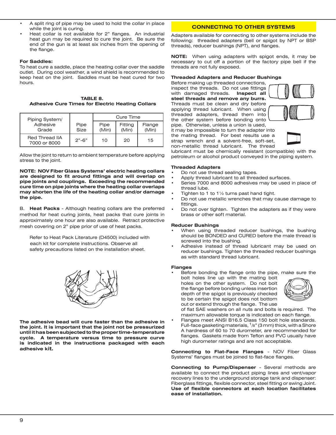- A split ring of pipe may be used to hold the collar in place while the joint is curing.
- Heat collar is not available for 2" flanges. An industrial heat gun may be required to cure the joint. Be sure the end of the gun is at least six inches from the opening of the flange.

## **For Saddles:**

To heat cure a saddle, place the heating collar over the saddle outlet. During cool weather, a wind shield is recommended to keep heat on the joint. Saddles must be heat cured for two hours.

| TABLE 8.                                                |  |  |  |  |  |  |
|---------------------------------------------------------|--|--|--|--|--|--|
| <b>Adhesive Cure Times for Electric Heating Collars</b> |  |  |  |  |  |  |

| Piping System/                 |              |               | Cure Time        |                 |
|--------------------------------|--------------|---------------|------------------|-----------------|
| Adhesive<br>Grade              | Pipe<br>Size | Pipe<br>(Min) | Fitting<br>(Min) | Flange<br>(Min) |
| Red Thread IIA<br>7000 or 8000 | $2" - 6"$    | 10            | 20               | 15              |

Allow the joint to return to ambient temperature before applying stress to the joint.

**NOTE: NOV Fiber Glass Systems' electric heating collars are designed to fit around fittings and will overlap on pipe joints and couplings. Exceeding the recommended cure time on pipe joints where the heating collar overlaps may shorten the life of the heating collar and/or damage the pipe.**

B. **Heat Packs** - Although heating collars are the preferred method for heat curing joints, heat packs that cure joints in approximately one hour are also available. Retract protective mesh covering on 2" pipe prior of use of heat packs.

Refer to Heat Pack Literature (D4500) included with each kit for complete instructions. Observe all safety precautions listed on the installation sheet.



**The adhesive bead will cure faster than the adhesive in the joint. It is important that the joint not be pressurized until it has been subjected to the proper time-temperature cycle. A temperature versus time to pressure curve is indicated in the instructions packaged with each adhesive kit.**

# **CONNECTING TO OTHER SYSTEMS**

Adapters available for connecting to other systems include the following: threaded adapters (bell or spigot by NPT or BSP threads), reducer bushings (NPT), and flanges.

**NOTE:** When using adapters with spigot ends, it may be necessary to cut off a portion of the factory pipe bell if the threads are not fully exposed.

## **Threaded Adapters and Reducer Bushings**

Before making up threaded connections, inspect the threads. Do not use fittings with damaged threads. **Inspect all steel threads and remove any burrs.** Threads must be clean and dry before applying thread lubricant. When using threaded adapters, thread them into the other system before bonding onto



pipe. Otherwise, unless a union is used, it may be impossible to turn the adapter into the mating thread. For best results use a strap wrench and a solvent-free, soft-set, non-metallic thread lubricant. The thread

lubricant must be chemically resistant (compatible) with the petroleum or alcohol product conveyed in the piping system.

#### **Threaded Adapters**

- Do not use thread sealing tapes.
- Apply thread lubricant to all threaded surfaces.
- Series 7000 and 8000 adhesives may be used in place of thread lube.
- Tighten to 1 to 1 $\frac{1}{2}$  turns past hand tight.
- Do not use metallic wrenches that may cause damage to fittings.
- Do not over tighten. Tighten the adapters as if they were brass or other soft material.

## **Reducer Bushings**

- When using threaded reducer bushings, the bushing should be BONDED and CURED before the male thread is screwed into the bushing.
- Adhesive instead of thread lubricant may be used on reducer bushings. Tighten the threaded reducer bushings as with standard thread lubricant.

## **Flanges**

Before bonding the flange onto the pipe, make sure the

bolt holes line up with the mating bolt holes on the other system. Do not bolt the flange before bonding unless insertion depth of the spigot is previously checked to be certain the spigot does not bottom out or extend through the flange. The use



of flat SAE washers on all nuts and bolts is required. The maximum allowable torque is indicated on each flange.

Flanges meet ANSI B16.5 Class 150 bolt hole standards. Full-face gasketing materials,  $1/8$ " (3 mm) thick, with a Shore A hardness of 60 to 70 durometer, are recommended for flanges. Gaskets made from Teflon and PVC usually have high durometer ratings and are not acceptable.

**Connecting to Flat-Face Flanges** - NOV Fiber Glass Systems' flanges must be joined to flat-face flanges.

**Connecting to Pump/Dispenser** - Several methods are available to connect the product piping lines and vent/vapor recovery lines to the underground storage tank and dispenser: Fiberglass fittings, flexible connector, steel fitting or swing Joint. **Use of flexible connectors at each location facilitates ease of installation.**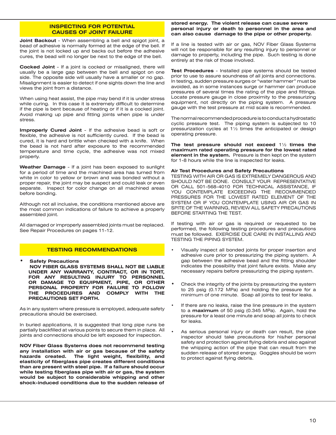# **INSPECTING FOR POTENTIAL CAUSES OF JOINT FAILURE**

**Joint Backout** - When assembling a bell and spigot joint, a bead of adhesive is normally formed at the edge of the bell. If the joint is not locked up and backs out before the adhesive cures, the bead will no longer be next to the edge of the bell.

**Cocked Joint** - If a joint is cocked or misaligned, there will usually be a large gap between the bell and spigot on one side. The opposite side will usually have a smaller or no gap. Misalignment is easier to detect if one sights down the line and views the joint from a distance.

When using heat assist, the pipe may bend if it is under stress while curing. In this case it is extremely difficult to determine if the pipe is bent because of heating or if it is a cocked joint. Avoid making up pipe and fitting joints when pipe is under stress.

**Improperly Cured Joint** - If the adhesive bead is soft or flexible, the adhesive is not sufficiently cured. If the bead is cured, it is hard and brittle when checked with a knife. When the bead is not hard after exposure to the recommended temperature and time cycle, the adhesive was not mixed properly.

**Weather Damage** - If a joint has been exposed to sunlight for a period of time and the machined area has turned from white in color to yellow or brown and was bonded without a proper repair, the joint may be suspect and could leak or even separate. Inspect for color change on all machined areas before bonding.

Although not all inclusive, the conditions mentioned above are the most common indications of failure to achieve a properly assembled joint.

All damaged or improperly assembled joints must be replaced. See Repair Procedures on pages 11-12.

## **TESTING RECOMMENDATIONS**

**• Safety Precautions NOV FIBER GLASS SYSTEMS SHALL NOT BE LIABLE UNDER ANY WARRANTY, CONTRACT, OR IN TORT, FOR ANY RESULTING INJURY TO PERSONNEL OR DAMAGE TO EQUIPMENT, PIPE, OR OTHER PERSONAL PROPERTY FOR FAILURE TO FOLLOW THE PROCEDURES AND COMPLY WITH THE PRECAUTIONS SET FORTH.**

As in any system where pressure is employed, adequate safety precautions should be exercised.

In buried applications, it is suggested that long pipe runs be partially backfilled at various points to secure them in place. All joints and connections should be left exposed for inspection.

**NOV Fiber Glass Systems does not recommend testing any installation with air or gas because of the safety hazards created. The light weight, flexibility, and elasticity of fiberglass pipe creates different conditions than are present with steel pipe. If a failure should occur while testing fiberglass pipe with air or gas, the system would be subject to considerable whipping and other shock-induced conditions due to the sudden release of** 

#### **stored energy. The violent release can cause severe personal injury or death to personnel in the area and can also cause damage to the pipe or other property.**

If a line is tested with air or gas, NOV Fiber Glass Systems will not be responsible for any resulting injury to personnel or damage to property, including the pipe. Such testing is done entirely at the risk of those involved.

**Test Procedures** - Installed pipe systems should be tested prior to use to assure soundness of all joints and connections. In testing, sudden pressure surges or "water hammer" must be avoided, as in some instances surge or hammer can produce pressures of several times the rating of the pipe and fittings. Locate pressure gauge in close proximity to the pressurizing equipment, not directly on the piping system. A pressure gauge with the test pressure at mid scale is recommended.

The normal recommended procedure is to conduct a hydrostatic cyclic pressure test. The piping system is subjected to 10 pressurization cycles at 1½ times the anticipated or design operating pressure.

**The test pressure should not exceed** 1½ **times the maximum rated operating pressure for the lowest rated element in the system.** Pressure is then kept on the system for 1-8 hours while the line is inspected for leaks.

#### **Air Test Procedures and Safety Precautions**

TESTING WITH AIR OR GAS IS EXTREMELY DANGEROUS AND SHOULD NOT BE DONE. CONSULT YOUR REPRESENTATIVE OR CALL 501-568-4010 FOR TECHNICAL ASSISTANCE, IF YOU CONTEMPLATE EXCEEDING THE RECOMMENDED PRESSURES FOR THE LOWEST RATED ELEMENT OF THE SYSTEM OR IF YOU CONTEMPLATE USING AIR OR GAS IN SPITE OF THE WARNING, REVIEW ALL SAFETY PRECAUTIONS BEFORE STARTING THE TEST.

If testing with air or gas is required or requested to be performed, the following testing procedures and precautions must be followed. EXERCISE DUE CARE IN INSTALLING AND TESTING THE PIPING SYSTEM.

- Visually inspect all bonded joints for proper insertion and adhesive cure prior to pressurizing the piping system. A gap between the adhesive bead and the fitting shoulder indicates the possibility that joint failure exists. Make any necessary repairs before pressurizing the piping system.
- Check the integrity of the joints by pressurizing the system to 25 psig (0.172 MPa) and holding the pressure for a minimum of one minute. Soap all joints to test for leaks.
- If there are no leaks, raise the line pressure in the system to a **maximum** of 50 psig (0.345 MPa). Again, hold the pressure for a least one minute and soap all joints to check for leaks.
- As serious personal injury or death can result, the pipe inspector should take precautions for his/her personal safety and protection against flying debris and also against the whipping action of the pipe that can result from the sudden release of stored energy. Goggles should be worn to protect against flying debris.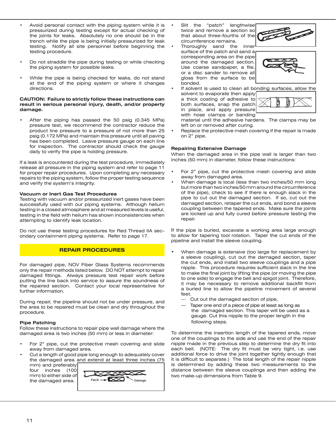- Avoid personal contact with the piping system while it is pressurized during testing except for actual checking of the joints for leaks. Absolutely no one should be in the trench while the pipe is being initially pressurized for leak testing. Notify all site personnel before beginning the testing procedure.
- Do not straddle the pipe during testing or while checking the piping system for possible leaks.
- While the pipe is being checked for leaks, do not stand at the end of the piping system or where it changes directions.

## **CAUTION: Failure to strictly follow these instructions can result in serious personal injury, death, and/or property damage.**

After the piping has passed the 50 psig (0.345 MPa) pressure test, we recommend the contractor reduce the product line pressure to a pressure of not more than 25 psig (0.172 MPa) and maintain this pressure until all paving has been completed. Leave pressure gauge on each line for inspection. The contractor should check the gauge daily to verify the pipe is holding pressure.

If a leak is encountered during the test procedure, immediately release all pressure in the piping system and refer to page 11 for proper repair procedures. Upon completing any necessary repairs to the piping system, follow the proper testing sequence and verify the system's integrity.

## **Vacuum or Inert Gas Test Procedures**

Testing with vacuum and/or pressurized inert gases have been successfully used with our piping systems. Although helium testing in a closed atmosphere and at measured levels is useful, testing in the field with helium has shown inconsistencies when attempting to identify leak location.

Do not use these testing procedures for Red Thread IIA secondary containment piping systems. Refer to page 17.

## **REPAIR PROCEDURES**

For damaged pipe, NOV Fiber Glass Systems recommends only the repair methods listed below. DO NOT attempt to repair damaged fittings. Always pressure test repair work before putting the line back into service to assure the soundness of the repaired section. Contact your local representative for further information.

During repair, the pipeline should not be under pressure, and the area to be repaired must be clean and dry throughout the procedure.

#### **Pipe Patching**

Follow these instructions to repair pipe wall damage where the damaged area is two inches (50 mm) or less in diameter:

- For 2" pipe, cut the protective mesh covering and slide away from damaged area.
- Cut a length of good pipe long enough to adequately cover the damaged area and extend at least three inches (75 mm) and preferably

four inches (100 mm) to either side of the damaged area.



- Slit the "patch" lengthwise twice and remove a section so that about three-fourths of the circumference remains.
- Thoroughly sand the inner surface of the patch and sand a corresponding area on the pipe around the damaged section. Use coarse sandpaper, a file, or a disc sander to remove all gloss from the surface to be bonded.



If solvent is used to clean all bonding surfaces, allow the solvent to evaporate then apply a thick coating of adhesive to both surfaces, snap the patch in place, and apply pressure with hose clamps or banding



material until the adhesive hardens. The clamps may be left on or removed after curing.

Replace the protective mesh covering if the repair is made on 2" pipe.

## **Repairing Extensive Damage**

When the damaged area in the pipe wall is larger than two inches (50 mm) in diameter, follow these instructions:

- For 2" pipe, cut the protective mesh covering and slide away from damaged area.
- When damage is local (less than two inches/50 mm long but more than two inches/50 mm around the circumference of the pipe), check to see if there is enough slack in the pipe to cut out the damaged section. If so, cut out the damaged section, retaper the cut ends, and bond a sleeve coupling between the tapered ends. Make sure the joints are locked up and fully cured before pressure testing the repair.

If the pipe is buried, excavate a working area large enough to allow for tapering tool rotation. Taper the cut ends of the pipeline and install the sleeve coupling.

- When damage is extensive (too large for replacement by a sleeve coupling), cut out the damaged section, taper the cut ends, and install two sleeve couplings and a pipe nipple. This procedure requires sufficient slack in the line to make the final joint by lifting the pipe (or moving the pipe to one side) to engage the bell and spigot joint. Therefore, it may be necessary to remove additional backfill from a buried line to allow the pipeline movement of several feet.
	- Cut out the damaged section of pipe,
	- Taper one end of a piece of pipe at least as long as the damaged section. This taper will be used as a gauge. Cut this nipple to the proper length in the following steps.

To determine the insertion length of the tapered ends, move one of the couplings to the side and use the end of the repair nipple made in the previous step to determine the dry fit into each bell. (NOTE: The dry fit must be very tight, i.e. use additional force to drive the joint together tightly enough that it is difficult to separate.) The total length of the repair nipple is determined by adding these two measurements to the distance between the sleeve couplings and then adding the two make-up dimensions from Table 9.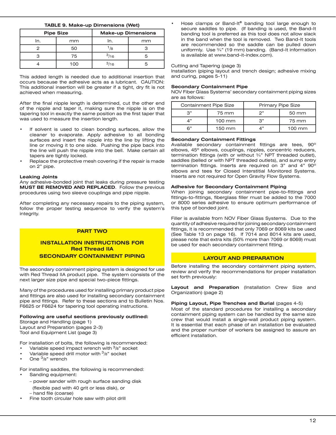## **TABLE 9. Make-up Dimensions (Wet)**

| <b>Pipe Size</b> |     | <b>Make-up Dimensions</b> |    |  |
|------------------|-----|---------------------------|----|--|
| In.              | mm  | In.                       | mm |  |
|                  | 50  | /8                        |    |  |
|                  | 75  | 3/16                      |    |  |
|                  | 100 | 3/16                      |    |  |

This added length is needed due to additional insertion that occurs because the adhesive acts as a lubricant. CAUTION: This additional insertion will be greater if a tight, dry fit is not achieved when measuring.

After the final nipple length is determined, cut the other end of the nipple and taper it, making sure the nipple is on the tapering tool in exactly the same position as the first taper that was used to measure the insertion length.

- If solvent is used to clean bonding surfaces, allow the cleaner to evaporate. Apply adhesive to all bonding surfaces and insert the nipple into the line by lifting the line or moving it to one side. Pushing the pipe back into the line will push the nipple into the bell. Make certain all tapers are tightly locked.
- Replace the protective mesh covering if the repair is made on 2" pipe.

#### **Leaking Joints**

Any adhesive-bonded joint that leaks during pressure testing **MUST BE REMOVED AND REPLACED**. Follow the previous procedures using two sleeve couplings and pipe nipple.

After completing any necessary repairs to the piping system, follow the proper testing sequence to verify the system's integrity.

## **PART TWO**

# **INSTALLATION INSTRUCTIONS FOR Red Thread IIA SECONDARY CONTAINMENT PIPING**

The secondary containment piping system is designed for use with Red Thread IIA product pipe. The system consists of the next larger size pipe and special two-piece fittings.

Many of the procedures used for installing primary product pipe and fittings are also used for installing secondary containment pipe and fittings. Refer to these sections and to Bulletin Nos. F6625 or F6624 for tapering tool operating instructions.

## **Following are useful sections previously outlined:**

Storage and Handling (page 1) Layout and Preparation (pages 2-3) Tool and Equipment List (page 3)

For installation of bolts, the following is recommended:

- Variable speed impact wrench with  $\frac{3}{8}$ " socket
- Variable speed drill motor with  $3/8$ " socket
- One  $\frac{3}{8}$ " wrench

For installing saddles, the following is recommended:

- Sanding equipment:
	- power sander with rough surface sanding disk (flexible pad with 40 grit or less disk), or
	- hand file (coarse)
- Fine tooth circular hole saw with pilot drill

Hose clamps or Band-It® banding tool large enough to secure saddles to pipe. (If banding is used, the Band-It banding tool is preferred as this tool does not allow slack in the band when the tool is removed. Two Band-It tools are recommended so the saddle can be pulled down uniformly. Use ¾" (19 mm) banding. (Band-It information is available at www.band-it-index.com).

#### Cutting and Tapering (page 3)

Installation (piping layout and trench design; adhesive mixing and curing, pages 5-11)

#### **Secondary Containment Pipe**

NOV Fiber Glass Systems' secondary containment piping sizes are as follows:

| <b>Containment Pipe Size</b> |                  | Primary Pipe Size |                  |  |
|------------------------------|------------------|-------------------|------------------|--|
| ລ"                           | 75 mm            | つ"                | 50 mm            |  |
| ⊿"                           | $100 \text{ mm}$ | 3"                | 75 mm            |  |
| R"                           | 150 mm           | 4"                | $100 \text{ mm}$ |  |

#### **Secondary Containment Fittings**

Available secondary containment fittings are tees, 90º elbows, 45º elbows, couplings, nipples, concentric reducers, termination fittings (with or without ¾" NPT threaded outlet), saddles (belled or with NPT threaded outlets), and sump entry termination fittings. Inserts are required on 3" and 4" 90º elbows and tees for Closed Interstitial Monitored Systems. Inserts are not required for Open Gravity Flow Systems.

#### **Adhesive for Secondary Containment Piping**

When joining secondary containment pipe-to-fittings and fittings-to-fittings, fiberglass filler must be added to the 7000 or 8000 series adhesive to ensure optimum performance of this type of bonded joint.

Filler is available from NOV Fiber Glass Systems. Due to the quantity of adhesive required for joining secondary containment fittings, it is recommended that only 7069 or 8069 kits be used (See Table 13 on page 16). If 7014 and 8014 kits are used, please note that extra kits (50% more than 7069 or 8069) must be used for each secondary containment fitting.

#### **LAYOUT AND PREPARATION**

Before installing the secondary containment piping system, review and verify the recommendations for proper installation set forth previously:

**Layout and Preparation** (Installation Crew Size and Organization) (page 2)

#### **Piping Layout, Pipe Trenches and Burial (pages 4-5)**

Most of the standard procedures for installing a secondary containment piping system can be handled by the same size crew that would install a single-wall product piping system. It is essential that each phase of an installation be evaluated and the proper number of workers be assigned to assure an efficient installation.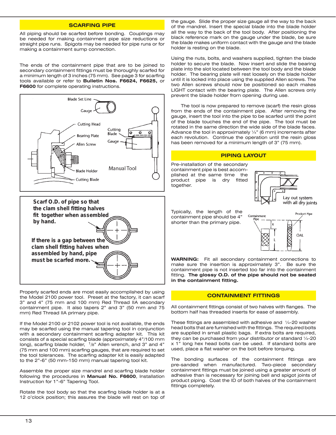## **SCARFING PIPE**

All piping should be scarfed before bonding. Couplings may be needed for making containment pipe size reductions or straight pipe runs. Spigots may be needed for pipe runs or for making a containment sump connection.

The ends of the containment pipe that are to be joined to secondary containment fittings must be thoroughly scarfed for a minimum length of 3 inches (75 mm). See page 3 for scarfing tools available or refer to **Bulletin Nos. F6624, F6625,** or **F6600** for complete operating instructions.





Properly scarfed ends are most easily accomplished by using the Model 2100 power tool. Preset at the factory, it can scarf 3" and 4" (75 mm and 100 mm) Red Thread IIA secondary containment pipe. It also tapers 2" and 3" (50 mm and 75 mm) Red Thread IIA primary pipe.

If the Model 2100 or 2102 power tool is not available, the ends may be scarfed using the manual tapering tool in conjunction with a secondary containment scarfing adapter kit. This kit consists of a special scarfing blade (approximately 4"/100 mm long), scarfing blade holder,  $1/8$ " Allen wrench, and 3" and 4" (75 mm and 100 mm) scarfing gauges, that are required to set the tool tolerances. The scarfing adapter kit is easily adapted to the 2"-6" (50 mm-150 mm) manual tapering tool kit.

Assemble the proper size mandrel and scarfing blade holder following the procedures in **Manual No. F6600**, Installation Instruction for 1"-6" Tapering Tool.

Rotate the tool body so that the scarfing blade holder is at a 12 o'clock position; this assures the blade will rest on top of

the gauge. Slide the proper size gauge all the way to the back of the mandrel. Insert the special blade into the blade holder all the way to the back of the tool body. After positioning the black reference mark on the gauge under the blade, be sure the blade makes uniform contact with the gauge and the blade holder is resting on the blade.

Using the nuts, bolts, and washers supplied, tighten the blade holder to secure the blade. Now insert and slide the bearing plate into the slot located between the tool body and the blade holder. The bearing plate will rest loosely on the blade holder until it is locked into place using the supplied Allen screws. The two Allen screws should now be positioned so each makes LIGHT contact with the bearing plate. The Allen screws only prevent the blade holder from opening during use.

The tool is now prepared to remove (scarf) the resin gloss from the ends of the containment pipe. After removing the gauge, insert the tool into the pipe to be scarfed until the point of the blade touches the end of the pipe. The tool must be rotated in the same direction the wide side of the blade faces. Advance the tool in approximately  $\frac{1}{4}$ " (6 mm) increments after each revolution. Continue the operation until the resin gloss has been removed for a minimum length of 3" (75 mm).

#### **PIPING LAYOUT**

Pre-installation of the secondary containment pipe is best accomplished at the same time the product pipe is dry fitted together.



Typically, the length of the containment pipe should be 4" shorter than the primary pipe.



**WARNING:** Fit all secondary containment connections to make sure the insertion is approximately 3". Be sure the containment pipe is not inserted too far into the containment fitting. **The glossy O.D. of the pipe should not be seated in the containment fitting.**

#### **CONTAINMENT FITTINGS**

All containment fittings consist of two halves with flanges. The bottom half has threaded inserts for ease of assembly.

These fittings are assembled with adhesive and  $1/4-20$  washer head bolts that are furnished with the fittings. The required bolts are supplied in small plastic bags. If extra bolts are required, they can be purchased from your distributor or standard  $1/4-20$ x 1" long hex head bolts can be used. If standard bolts are used, place a flat washer on the bolt before torquing.

The bonding surfaces of the containment fittings are pre-sanded when manufactured. Two-piece secondary containment fittings must be joined using a greater amount of adhesive than is necessary for joining bell and spigot joints of product piping. Coat the ID of both halves of the containment fittings completely.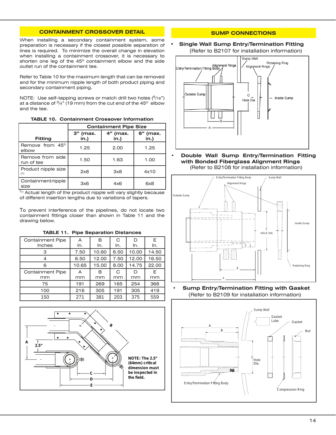# **CONTAINMENT CROSSOVER DETAIL**

When installing a secondary containment system, some preparation is necessary if the closest possible separation of lines is required. To minimize the overall change in elevation when installing a containment crossover, it is necessary to shorten one leg of the 45º containment elbow and the side outlet run of the containment tee.

Refer to Table 10 for the maximum length that can be removed and for the minimum nipple length of both product piping and secondary containment piping.

NOTE: Use self-tapping screws or match drill two holes (5/16") at a distance of  $\frac{3}{4}$ " (19 mm) from the cut end of the 45° elbow and the tee.

| <b>TABLE 10. Containment Crossover Information</b> |
|----------------------------------------------------|
|----------------------------------------------------|

|                                | <b>Containment Pipe Size</b> |                  |                  |  |
|--------------------------------|------------------------------|------------------|------------------|--|
| <b>Fitting</b>                 | 3" (max.<br>in.)             | 4" (max.<br>in.) | 6" (max.<br>in.) |  |
| Remove from 45°<br>elbow       | 1.25                         | 2.00             | 1.25             |  |
| Remove from side<br>run of tee | 1.50                         | 1.63             | 1.00             |  |
| Product nipple size<br>(1)     | 2x8                          | 3x8              | 4x10             |  |
| Containmentnipple<br>size      | 3x6                          | 4x6              | 6x8              |  |

 $\frac{(1)}{(1)}$  Actual length of the product nipple will vary slightly because of different insertion lengths due to variations of tapers.

To prevent interference of the pipelines, do not locate two containment fittings closer than shown in Table 11 and the drawing below.

| <b>TABLE 11. Pipe Separation Distances</b> |       |       |      |       |       |  |
|--------------------------------------------|-------|-------|------|-------|-------|--|
| <b>Containment Pipe</b>                    | A     | в     | C    | D     | E     |  |
| Inches                                     | In.   | In.   | In.  | ln.   | In.   |  |
| З                                          | 7.50  | 10.60 | 6.50 | 10.00 | 14.50 |  |
| 4                                          | 8.50  | 12.00 | 7.50 | 12.00 | 16.50 |  |
| 6                                          | 10.65 | 15.00 | 8.00 | 14.75 | 22.00 |  |
| <b>Containment Pipe</b>                    | A     | в     | C    | D     | F     |  |
| mm                                         | mm    | mm    | mm   | mm    | mm    |  |
| 75                                         | 191   | 269   | 165  | 254   | 368   |  |
| 100                                        | 216   | 305   | 191  | 305   | 419   |  |
| 150                                        | 271   | 381   | 203  | 375   | 559   |  |



# **SUMP CONNECTIONS**

**• Single Wall Sump Entry/Termination Fitting** (Refer to B2107 for installation information)



**Double Wall Sump Entry/Termination Fitting with Bonded Fiberglass Alignment Rings** (Refer to B2108 for installation information)



**Sump Entry/Termination Fitting with Gasket** (Refer to B2109 for installation information)

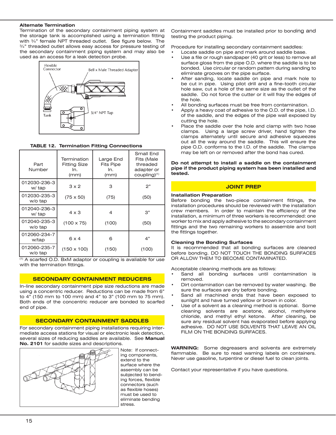#### **Alternate Termination**

Termination of the secondary containment piping system at the storage tank is accomplished using a termination fitting with ¾" female NPT threaded outlet. See figure below. The ¾" threaded outlet allows easy access for pressure testing of the secondary containment piping system and may also be used as an access for a leak detection probe.



## **TABLE 12. Termination Fitting Connections**

| Part<br>Number          | Termination<br>Fitting Size<br>In.<br>(mm) | Large End<br><b>Fits Pipe</b><br>In.<br>(mm) | Small End<br>Fits (Male<br>threaded<br>adapter or<br>$coupling$ $(1)$ |
|-------------------------|--------------------------------------------|----------------------------------------------|-----------------------------------------------------------------------|
| 012030-236-3<br>w/ tap  | $3 \times 2$                               | 3                                            | 2"                                                                    |
| 012030-235-3<br>w/o tap | $(75 \times 50)$                           | (75)                                         | (50)                                                                  |
| 012040-236-3<br>w/tap   | $4 \times 3$                               | 4                                            | 3"                                                                    |
| 012040-235-3<br>w/o tap | $(100 \times 75)$                          | (100)                                        | (50)                                                                  |
| 012060-234-7<br>w/tap   | $6 \times 4$                               | 6                                            | 4"                                                                    |
| 012060-235-7<br>w/o tap | $(150 \times 100)$                         | (150)                                        | (100)                                                                 |

(1) A scarfed O.D. BxM adaptor or coupling is avaliable for use with the termination fittings.

## **SECONDARY CONTAINMENT REDUCERS**

In-line secondary containment pipe size reductions are made using a concentric reducer. Reductions can be made from 6" to 4" (150 mm to 100 mm) and 4" to 3" (100 mm to 75 mm). Both ends of the concentric reducer are bonded to scarfed end of pipe.

## **SECONDARY CONTAINMENT SADDLES**

For secondary containment piping installations requiring intermediate access stations for visual or electronic leak detection, several sizes of reducing saddles are available. See **Manual No. 2101** for saddle sizes and descriptions.



Note: If connecting components, extend to the surface where the assembly can be subjected to bending forces, flexible connectors (such as flexible hoses) must be used to eliminate bending stress.

Containment saddles must be installed prior to bonding and testing the product piping.

Procedure for installing secondary containment saddles:

- Locate saddle on pipe and mark around saddle base.
- Use a file or rough sandpaper (40 grit or less) to remove all surface gloss from the pipe O.D. where the saddle is to be bonded. Use circular or random pattern during sanding to eliminate grooves on the pipe surface.
- After sanding, locate saddle on pipe and mark hole to be cut in pipe. Using pilot drill and a fine-tooth circular hole saw, cut a hole of the same size as the outlet of the saddle. Do not force the cutter or it will fray the edges of the hole.
- All bonding surfaces must be free from contamination.
- Apply a heavy coat of adhesive to the O.D. of the pipe, I.D. of the saddle, and the edges of the pipe wall exposed by cutting the hole.
- Place the saddle over the hole and clamp with two hose clamps. Using a large screw driver, hand tighten the clamps alternately until secure and adhesive squeezes out all the way around the saddle. This will ensure the pipe O.D. conforms to the I.D. of the saddle. The clamps may be left on or removed after the bond has cured.

#### **Do not attempt to install a saddle on the containment pipe if the product piping system has been installed and tested.**

## **JOINT PREP**

# **Installation Preparation**

Before bonding the two-piece containment fittings, the installation procedures should be reviewed with the installation crew members. In order to maintain the efficiency of the installation, a minimum of three workers is recommended: one worker to mix and apply adhesive to the secondary containment fittings and the two remaining workers to assemble and bolt the fittings together.

#### **Cleaning the Bonding Surfaces**

It is recommended that all bonding surfaces are cleaned before bonding. DO NOT TOUCH THE BONDING SURFACES OR ALLOW THEM TO BECOME CONTAMINATED.

Acceptable cleaning methods are as follows:

- Sand all bonding surfaces until contamination is removed.
- Dirt contamination can be removed by water washing. Be sure the surfaces are dry before bonding.
- Sand all machined ends that have been exposed to sunlight and have turned yellow or brown in color.
- Use of a solvent as a cleaning method is optional. Some cleaning solvents are acetone, alcohol, methylene chloride, and methyl ethyl ketone. After cleaning, be sure any residual solvent has evaporated before applying adhesive. DO NOT USE SOLVENTS THAT LEAVE AN OIL FILM ON THE BONDING SURFACES.

**WARNING:** Some degreasers and solvents are extremely flammable. Be sure to read warning labels on containers. Never use gasoline, turpentine or diesel fuel to clean joints.

Contact your representative if you have questions.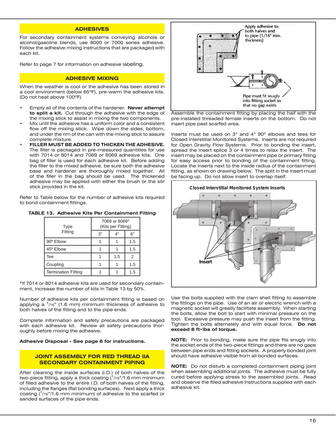## **ADHESIVES**

For secondary containment systems conveying alcohols or alcohol/gasoline blends, use 8000 or 7000 series adhesive. Follow the adhesive mixing instructions that are packaged with each kit.

Refer to page 7 for information on adhesive labeling.

#### **ADHESIVE MIXING**

When the weather is cool or the adhesive has been stored in a cool environment (below 65ºF), pre-warm the adhesive kits. (Do not heat above 100ºF)

- Empty all of the contents of the hardener. Never attempt **to split a kit.** Cut through the adhesive with the edge of the mixing stick to assist in mixing the two components.
- Mix until the adhesive has a uniform color and a consistent flow off the mixing stick. Wipe down the sides, bottom, and under the rim of the can with the mixing stick to assure complete mixture.
- **• FILLER MUST BE ADDED TO THICKEN THE ADHESIVE.** The filler is packaged in pre-measured quantities for use with 7014 or 8014 and 7069 or 8069 adhesive kits. One bag of filler is used for each adhesive kit. Before adding the filler to the mixed adhesive, be sure both the adhesive base and hardener are thoroughly mixed together. All of the filler in the bag should be used. The thickened adhesive may be applied with either the brush or the stir stick provided in the kit.

Refer to Table below for the number of adhesive kits required to bond containment fittings.

|  | <b>TABLE 13. Adhesive Kits Per Containment Fitting</b> |  |  |
|--|--------------------------------------------------------|--|--|
|  |                                                        |  |  |

| <b>Type</b>                | 7069 or 8069*<br>(Kits per Fitting) |     |     |
|----------------------------|-------------------------------------|-----|-----|
| Fitting                    | 3"                                  | A"  | 6"  |
| 90° Elbow                  |                                     |     | 1.5 |
| 45° Elbow                  |                                     |     | 1.5 |
| Tee                        |                                     | 1.5 | 2   |
| Coupling                   |                                     |     | 1.5 |
| <b>Termination Fitting</b> |                                     |     | 1.5 |

\*If 7014 or 8014 adhesive kits are used for secondary containment, increase the number of kits in Table 13 by 50%.

Number of adhesive kits per containment fitting is based on applying a  $1/16$ " (1.6 mm) minimum thickness of adhesive to both halves of the fitting and to the pipe ends.

Complete information and safety precautions are packaged with each adhesive kit. Review all safety precautions thoroughly before mixing the adhesive.

**Adhesive Disposal - See page 6 for instructions.**

## **JOINT ASSEMBLY FOR RED THREAD IIA SECONDARY CONTAINMENT PIPING**

After cleaning the inside surfaces (I.D.) of both halves of the two-piece fitting, apply a thick coating  $(1/16)/1.6$  mm minimum of filled adhesive to the entire I.D. of both halves of the fitting, including the flanges (flat bonding surfaces). Next apply a thick coating  $(1/16)/1.6$  mm minimum) of adhesive to the scarfed or sanded surfaces of the pipe ends.



Assemble the containment fitting by placing the half with the pre-installed threaded female inserts on the bottom. Do not insert pipe past scarfed area.

Inserts must be used on 3" and 4" 90º elbows and tees for Closed Interstitial Monitored Systems. Inserts are not required for Open Gravity Flow Systems. Prior to bonding the insert, spread the insert splice 3 or 4 times to relax the insert. The insert may be placed on the containment pipe or primary fitting for easy access prior to bonding of the containment fitting. Locate the inserts next to the inside radius of the containment fitting, as shown on drawing below. The split in the insert must be facing up. Do not allow insert to overlap itself.



Use the bolts supplied with the clam shell fitting to assemble the fittings on the pipe. Use of an air or electric wrench with a magnetic socket will greatly facilitate assembly. When starting the bolts, allow the bolt to start with minimal pressure on the tool. Excessive pressure may push the insert from the fitting. Tighten the bolts alternately and with equal force. **Do not exceed 8 ft•lbs of torque.**

**NOTE:** Prior to bonding, make sure the pipe fits snugly into the socket ends of the two-piece fittings and there are no gaps between pipe ends and fitting sockets. A properly bonded joint should have adhesive visible from all bonded surfaces.

**NOTE:** Do not disturb a completed containment piping joint when assembling additional joints. The adhesive must be fully cured before applying stress to the assembled joints. Read and observe the filled adhesive instructions supplied with each adhesive kit.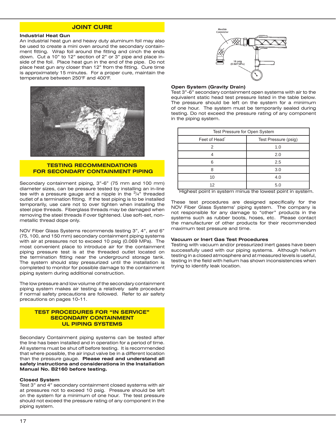# **JOINT CURE**

#### **Industrial Heat Gun**

An industrial heat gun and heavy duty aluminum foil may also be used to create a mini oven around the secondary containment fitting. Wrap foil around the fitting and cinch the ends down. Cut a 10" to 12" section of 2" or 3" pipe and place inside of the foil. Place heat gun in the end of the pipe. Do not place heat gun any closer than 12" from the fitting. Cure time is approximately 15 minutes. For a proper cure, maintain the temperature between 250°F and 400°F.



## **TESTING RECOMMENDATIONS FOR SECONDARY CONTAINMENT PIPING**

Secondary containment piping, 3"-6" (75 mm and 100 mm) diameter sizes, can be pressure tested by installing an in-line tee with a pressure gauge and a nipple in the  $\frac{3}{4}$ " threaded outlet of a termination fitting. If the test piping is to be installed temporarily, use care not to over tighten when installing the steel pipe threads. Fiberglass threads may be damaged when removing the steel threads if over tightened. Use soft-set, nonmetallic thread dope only.

NOV Fiber Glass Systems recommends testing 3", 4", and 6" (75, 100, and 150 mm) secondary containment piping systems with air at pressures not to exceed 10 psig (0.069 MPa). The most convenient place to introduce air for the containment piping pressure test is at the threaded outlet located on the termination fitting near the underground storage tank. The system should stay pressurized until the installation is completed to monitor for possible damage to the containment piping system during additional construction.

The low pressure and low volume of the secondary containment piping system makes air testing a relatively safe procedure if normal safety precautions are followed. Refer to air safety precautions on pages 10-11.

## **TEST PROCEDURES FOR "IN SERVICE" SECONDARY CONTAINMENT UL PIPING SYSTEMS**

Secondary Containment piping systems can be tested after the line has been installed and in operation for a period of time. All systems must be shut off before testing. It is recommended that where possible, the air input valve be in a different location than the pressure gauge. **Please read and understand all safety instructions and considerations in the Installation Manual No. B2160 before testing.**

## **Closed System**

Test 3" and 4" secondary containment closed systems with air at pressures not to exceed 10 psig. Pressure should be left on the system for a minimum of one hour. The test pressure should not exceed the pressure rating of any component in the piping system.



#### **Open System (Gravity Drain)**

Test 3"-6" secondary containment open systems with air to the equivalent static head test pressure listed in the table below. The pressure should be left on the system for a minimum of one hour. The system must be temporarily sealed during testing. Do not exceed the pressure rating of any component in the piping system.

| Test Pressure for Open System |                      |  |  |
|-------------------------------|----------------------|--|--|
| Feet of Head <sup>®</sup>     | Test Pressure (psig) |  |  |
|                               | 1.0                  |  |  |
|                               | 2.0                  |  |  |
| 6                             | 2.5                  |  |  |
| я                             | 3.0                  |  |  |
| 10                            | 4.0                  |  |  |
| 12                            | 5.0                  |  |  |

\* Highest point in system minus the lowest point in system.

These test procedures are designed specifically for the NOV Fiber Glass Systems' piping system. The company is not responsible for any damage to "other" products in the systems such as rubber boots, hoses, etc. Please contact the manufacturer of other products for their recommended maximum test pressure and time.

#### **Vacuum or Inert Gas Test Procedures**

Testing with vacuum and/or pressurized inert gases have been successfully used with our piping systems. Although helium testing in a closed atmosphere and at measured levels is useful, testing in the field with helium has shown inconsistencies when trying to identify leak location.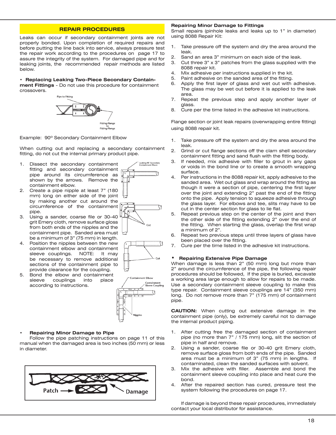## **REPAIR PROCEDURES**

Leaks can occur if secondary containment joints are not properly bonded. Upon completion of required repairs and before putting the line back into service, always pressure test the repair work according to the procedures on page 17 to assure the integrity of the system. For damaged pipe and for leaking joints, the recommended repair methods are listed below.

# **• Replacing Leaking Two-Piece Secondary Contain-**

**ment Fittings** - Do not use this procedure for containment crossovers.



Example: 90º Secondary Containment Elbow

When cutting out and replacing a secondary containment fitting, do not cut the internal primary product pipe.

- 1. Dissect the secondary containment fitting and secondary containment pipe around its circumference as shown by the arrows. Remove the containment elbow.
- 2. Create a pipe nipple at least 7" (180 mm) long on either side of the joint by making another cut around the circumference of the containment pipe.
- 3. Using a sander, coarse file or 30-40 grit Emery cloth, remove surface gloss from both ends of the nipples and the containment pipe. Sanded area must be a minimum of 3" (75 mm) in length.
- 4. Position the nipples between the new containment elbow and containment sleeve couplings. NOTE: It may be necessary to remove additional sections of the containment pipe to provide clearance for the coupling.
- 5. Bond the elbow and containment sleeve couplings into place according to instructions.



Leaking 90<sup>°</sup> Secondar<br>Containment Fibour





#### **• Repairing Minor Damage to Pipe**

Follow the pipe patching instructions on page 11 of this manual when the damaged area is two inches (50 mm) or less in diameter.



#### **Repairing Minor Damage to Fittings**

Small repairs (pinhole leaks and leaks up to 1" in diameter) using 8088 Repair Kit:

- 1. Take pressure off the system and dry the area around the leak.
- 2. Sand an area 3" minimum on each side of the leak.
- 3. Cut three 3" x 3" patches from the glass supplied with the 8088 repair kit.
- 4. Mix adhesive per instructions supplied in the kit.
- 5. Paint adhesive on the sanded area of the fitting.
- 6. Apply the first layer of glass and wet out with adhesive. The glass may be wet out before it is applied to the leak area.
- 7. Repeat the previous step and apply another layer of glass.
- 8. Cure per the time listed in the adhesive kit instructions.

Flange section or joint leak repairs (overwrapping entire fitting) using 8088 repair kit.

- 1. Take pressure off the system and dry the area around the leak.
- 2. Grind or cut flange sections off the clam shell secondary containment fitting and sand flush with the fitting body.
- 3. If needed, mix adhesive with filler to grout in any gaps or voids in the bond line or to create a smooth wrapping surface.
- 4. Per instructions in the 8088 repair kit, apply adhesive to the sanded area. Wet out glass and wrap around the fitting as though it were a section of pipe, centering the first layer over the joint and extending 2" past the end of the fitting onto the pipe. Apply tension to squeeze adhesive through the glass layer. For elbows and tee, slits may have to be cut in the center section for glass to lie flat.
- 5. Repeat previous step on the center of the joint and then the other side of the fitting extending 2" over the end of the fitting. When starting the glass, overlap the first wrap a minimum of 2".
- 6. Repeat two previous steps until three layers of glass have been placed over the fitting.
- 7. Cure per the time listed in the adhesive kit instructions.

## **• Repairing Extensive Pipe Damage**

When damage is less than 2" (50 mm) long but more than 2" around the circumference of the pipe, the following repair procedures should be followed, If the pipe is buried, excavate a working area large enough to allow for repairs to be made. Use a secondary containment sleeve coupling to make this type repair. Containment sleeve couplings are 14" (350 mm) long. Do not remove more than 7" (175 mm) of containment pipe.

**CAUTION:** When cutting out extensive damage in the containment pipe (only), be extremely careful not to damage the internal product piping.

- 1. After cutting free the damaged section of containment pipe (no more than 7" / 175 mm) long, slit the section of pipe in half and remove.
- 2. Using a sander, coarse file or 30-40 grit Emery cloth, remove surface gloss from both ends of the pipe. Sanded area must be a minimum of 3" (75 mm) in lengths. If contaminated, clean the sanded surfaces with solvent.
- 3. Mix the adhesive with filler. Assemble and bond the containment sleeve coupling into place and heat cure the bond.
- 4. After the repaired section has cured, pressure test the system following the procedures on page 17.

If damage is beyond these repair procedures, immediately contact your local distributor for assistance.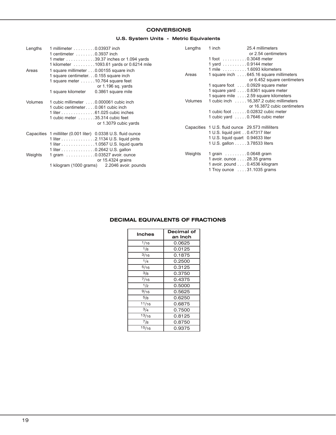# **CONVERSIONS**

# **U.S. System Units - Metric Equivalents**

| Lengths        | 1 millimeter 0.03937 inch                       |                                                               | Lengths        | 1 inch | 25.4 millimeters                                 |
|----------------|-------------------------------------------------|---------------------------------------------------------------|----------------|--------|--------------------------------------------------|
|                | 1 centimeter 0.3937 inch                        |                                                               |                |        | or 2.54 centimeters                              |
|                |                                                 | 1 meter 39.37 inches or 1.094 yards                           |                |        | $1$ foot $\ldots \ldots \ldots 0.3048$ meter     |
|                |                                                 | 1 kilometer 1093.61 yards or 0.6214 mile                      |                |        | 1 yard $\dots \dots \dots 0.9144$ meter          |
| Areas          | 1 square millimeter 0.00155 square inch         |                                                               |                |        | 1 mile 1.6093 kilometers                         |
|                | 1 square centimeter. 0.155 square inch          |                                                               | Areas          |        | 1 square inch 645.16 square millimeters          |
|                | 1 square meter $\dots \dots 10.764$ square feet |                                                               |                |        | or 6.452 square centimeters                      |
|                |                                                 | or $1.196$ sq. yards                                          |                |        | 1 square foot  0.0929 square meter               |
|                | 1 square kilometer                              | 0.3861 square mile                                            |                |        | 1 square yard  0.8361 square meter               |
|                |                                                 |                                                               |                |        | 1 square mile  . 2.59 square kilometers          |
| <b>Volumes</b> | 1 cubic millimeter 0.000061 cubic inch          |                                                               | <b>Volumes</b> |        | 1 cubic inch 16,387.2 cubic millimeters          |
|                | 1 cubic centimeter 0.061 cubic inch             |                                                               |                |        | or 16.3872 cubic centimeters                     |
|                | 1 liter 61.025 cubic inches                     |                                                               |                |        | 1 cubic foot 0.02832 cubic meter                 |
|                | 1 cubic meter 35.314 cubic feet                 |                                                               |                |        | 1 cubic yard 0.7646 cubic meter                  |
|                |                                                 | or 1.3079 cubic yards                                         |                |        |                                                  |
|                |                                                 |                                                               |                |        | Capacities 1 U.S. fluid ounce 29.573 milliliters |
|                |                                                 | Capacities 1 milliliter (0.001 liter) 0.0338 U.S. fluid ounce |                |        | 1 U.S. liquid pint 0.47317 liter                 |
|                |                                                 | 1 liter 2.1134 U.S. liquid pints                              |                |        | 1 U.S. liquid quart 0.94633 liter                |
|                |                                                 | 1 liter 1.0567 U.S. liquid quarts                             |                |        | 1 U.S. gallon 3.78533 liters                     |
|                | 1 liter 0.2642 U.S. gallon                      |                                                               |                |        |                                                  |
| Weights        | 1 gram 0.03527 avoir. ounce                     |                                                               | Weights        |        | 1 grain $\ldots \ldots \ldots 0.0648$ gram       |
|                |                                                 | or $15.4324$ grains                                           |                |        | 1 avoir. ounce $\ldots$ . 28.35 grams            |
|                | 1 kilogram (1000 grams)                         | 2.2046 avoir. pounds                                          |                |        | 1 avoir. pound 0.4536 kilogram                   |
|                |                                                 |                                                               |                |        | 1 Troy ounce  31.1035 grams                      |
|                |                                                 |                                                               |                |        |                                                  |

# **DECIMAL EQUIVALENTS OF FRACTIONS**

| <b>Inches</b>   | Decimal of |
|-----------------|------------|
|                 | an Inch    |
| 1/16            | 0.0625     |
| 1/8             | 0.0125     |
| 3/16            | 0.1875     |
| 1/4             | 0.2500     |
| 5/16            | 0.3125     |
| 3/8             | 0.3750     |
| $^{7/16}$       | 0.4375     |
| 1/2             | 0.5000     |
| 9/16            | 0.5625     |
| $^{5/8}$        | 0.6250     |
| $\frac{11}{16}$ | 0.6875     |
| 3/4             | 0.7500     |
| 13/16           | 0.8125     |
| 7/8             | 0.8750     |
| 15/16           | 0.9375     |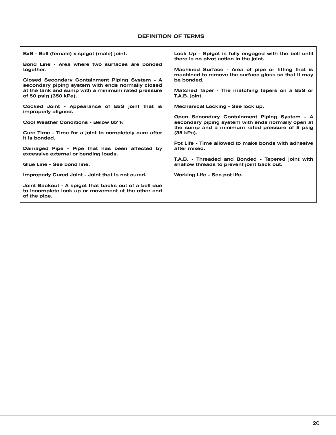## **DEFINITION OF TERMS**

**BxS - Bell (female) x spigot (male) joint.**

**Bond Line - Area where two surfaces are bonded together.**

**Closed Secondary Containment Piping System - A secondary piping system with ends normally closed at the tank and sump with a minimum rated pressure of 50 psig (350 kPa).**

**Cocked Joint - Appearance of BxS joint that is improperly aligned.**

**Cool Weather Conditions - Below 65ºF.**

**Cure Time - Time for a joint to completely cure after it is bonded.**

**Damaged Pipe - Pipe that has been affected by excessive external or bending loads.**

**Glue Line - See bond line.**

**Improperly Cured Joint - Joint that is not cured.**

**Joint Backout - A spigot that backs out of a bell due to incomplete lock up or movement at the other end of the pipe.**

**Lock Up - Spigot is fully engaged with the bell until there is no pivot action in the joint.**

**Machined Surface - Area of pipe or fitting that is machined to remove the surface gloss so that it may be bonded.**

**Matched Taper - The matching tapers on a BxS or T.A.B. joint.**

**Mechanical Locking - See lock up.**

**Open Secondary Containment Piping System - A secondary piping system with ends normally open at the sump and a minimum rated pressure of 5 psig (35 kPa).**

**Pot Life - Time allowed to make bonds with adhesive after mixed.**

**T.A.B. - Threaded and Bonded - Tapered joint with shallow threads to prevent joint back out.**

**Working Life - See pot life.**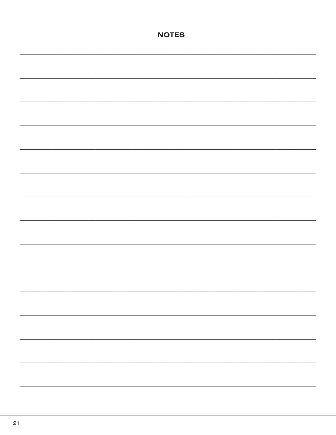| <b>NOTES</b> |
|--------------|
|              |
|              |
|              |
|              |
|              |
|              |
|              |
|              |
|              |
|              |
|              |
|              |
|              |
|              |
|              |